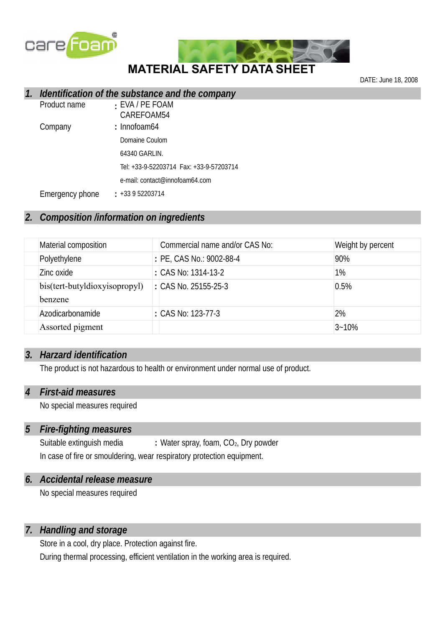



DATE: June 18, 2008

#### *1. Identification of the substance and the company*

| Product name    | : EVA / PE FOAM<br>CAREFOAM54  |
|-----------------|--------------------------------|
| Company         | : Innofoam64                   |
|                 | Domaine Coulom                 |
|                 | 64340 GARLIN.                  |
|                 |                                |
|                 | e-mail: contact@innofoam64.com |
| Emergency phone | $: +33952203714$               |

## *2. Composition /information on ingredients*

| Material composition                     | Commercial name and/or CAS No: | Weight by percent |
|------------------------------------------|--------------------------------|-------------------|
| Polyethylene                             | : PE, CAS No.: 9002-88-4       | 90%               |
| Zinc oxide                               | : CAS No: 1314-13-2            | 1%                |
| bis(tert-butyldioxyisopropyl)<br>benzene | : CAS No. 25155-25-3           | 0.5%              |
| Azodicarbonamide                         | : CAS No: 123-77-3             | 2%                |
| Assorted pigment                         |                                | $3 - 10%$         |

#### *3. Harzard identification*

The product is not hazardous to health or environment under normal use of product.

#### *4 First-aid measures*

No special measures required

### *5 Fire-fighting measures*

Suitable extinguish media **:** Water spray, foam, CO<sub>2</sub>, Dry powder In case of fire or smouldering, wear respiratory protection equipment.

#### *6. Accidental release measure*

No special measures required

#### *7. Handling and storage*

Store in a cool, dry place. Protection against fire.

During thermal processing, efficient ventilation in the working area is required.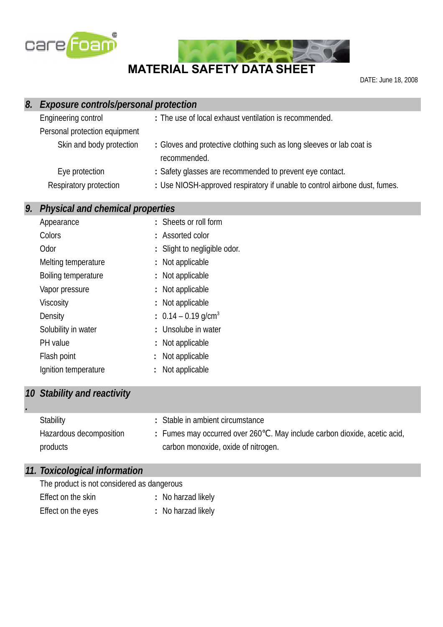

# **MATERIAL SAFETY DATA SHEET**

DATE: June 18, 2008

| 8. | <b>Exposure controls/personal protection</b> |                                                                                      |  |  |  |
|----|----------------------------------------------|--------------------------------------------------------------------------------------|--|--|--|
|    | Engineering control                          | : The use of local exhaust ventilation is recommended.                               |  |  |  |
|    | Personal protection equipment                |                                                                                      |  |  |  |
|    | Skin and body protection                     | : Gloves and protective clothing such as long sleeves or lab coat is<br>recommended. |  |  |  |
|    | Eye protection                               | : Safety glasses are recommended to prevent eye contact.                             |  |  |  |
|    | Respiratory protection                       | : Use NIOSH-approved respiratory if unable to control airbone dust, fumes.           |  |  |  |
|    |                                              |                                                                                      |  |  |  |
| 9. | <b>Physical and chemical properties</b>      |                                                                                      |  |  |  |
|    | Appearance                                   | : Sheets or roll form                                                                |  |  |  |
|    | Colors                                       | : Assorted color                                                                     |  |  |  |
|    | Odor                                         | : Slight to negligible odor.                                                         |  |  |  |
|    | Melting temperature                          | : Not applicable                                                                     |  |  |  |
|    | Boiling temperature                          | : Not applicable                                                                     |  |  |  |
|    | Vapor pressure                               | : Not applicable                                                                     |  |  |  |
|    | <b>Viscosity</b>                             | : Not applicable                                                                     |  |  |  |
|    | Density                                      | : $0.14 - 0.19$ g/cm <sup>3</sup>                                                    |  |  |  |
|    | Solubility in water                          | : Unsolube in water                                                                  |  |  |  |
|    | PH value                                     | Not applicable                                                                       |  |  |  |
|    | Flash point                                  | Not applicable                                                                       |  |  |  |

# Ignition temperature **:** Not applicable

### *10 Stability and reactivity*

*.*

| Stability               | : Stable in ambient circumstance                                                      |
|-------------------------|---------------------------------------------------------------------------------------|
| Hazardous decomposition | $\therefore$ Fumes may occurred over 260 °C. May include carbon dioxide, acetic acid, |
| products                | carbon monoxide, oxide of nitrogen.                                                   |

# *11. Toxicological information*

| The product is not considered as dangerous |  |  |
|--------------------------------------------|--|--|
|                                            |  |  |

- Effect on the skin **:** No harzad likely
- Effect on the eyes **:** No harzad likely